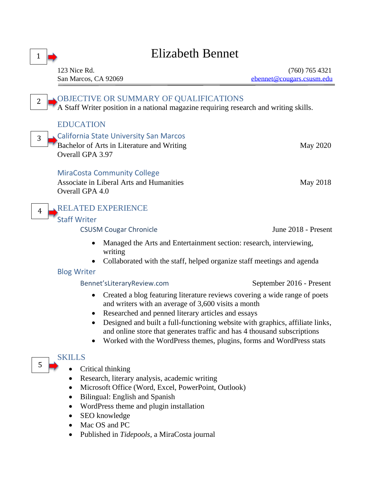| 1                                                                                                                                                                                                                                                                                                                                                                                                                                         | Elizabeth Bennet                                                                                                                                                                                                                                      |                                               |
|-------------------------------------------------------------------------------------------------------------------------------------------------------------------------------------------------------------------------------------------------------------------------------------------------------------------------------------------------------------------------------------------------------------------------------------------|-------------------------------------------------------------------------------------------------------------------------------------------------------------------------------------------------------------------------------------------------------|-----------------------------------------------|
|                                                                                                                                                                                                                                                                                                                                                                                                                                           | 123 Nice Rd.<br>San Marcos, CA 92069                                                                                                                                                                                                                  | $(760)$ 765 4321<br>ebennet@cougars.csusm.edu |
| $\overline{2}$                                                                                                                                                                                                                                                                                                                                                                                                                            | OBJECTIVE OR SUMMARY OF QUALIFICATIONS<br>A Staff Writer position in a national magazine requiring research and writing skills.                                                                                                                       |                                               |
|                                                                                                                                                                                                                                                                                                                                                                                                                                           | <b>EDUCATION</b>                                                                                                                                                                                                                                      |                                               |
| 3                                                                                                                                                                                                                                                                                                                                                                                                                                         | California State University San Marcos<br>Bachelor of Arts in Literature and Writing<br>Overall GPA 3.97                                                                                                                                              | May 2020                                      |
|                                                                                                                                                                                                                                                                                                                                                                                                                                           | <b>MiraCosta Community College</b><br>Associate in Liberal Arts and Humanities<br>Overall GPA 4.0                                                                                                                                                     | May 2018                                      |
| 4                                                                                                                                                                                                                                                                                                                                                                                                                                         | <b>RELATED EXPERIENCE</b><br><b>Staff Writer</b>                                                                                                                                                                                                      |                                               |
|                                                                                                                                                                                                                                                                                                                                                                                                                                           | <b>CSUSM Cougar Chronicle</b>                                                                                                                                                                                                                         | June 2018 - Present                           |
|                                                                                                                                                                                                                                                                                                                                                                                                                                           | Managed the Arts and Entertainment section: research, interviewing,<br>$\bullet$<br>writing<br>Collaborated with the staff, helped organize staff meetings and agenda                                                                                 |                                               |
| <b>Blog Writer</b>                                                                                                                                                                                                                                                                                                                                                                                                                        |                                                                                                                                                                                                                                                       |                                               |
|                                                                                                                                                                                                                                                                                                                                                                                                                                           | Bennet'sLiteraryReview.com                                                                                                                                                                                                                            | September 2016 - Present                      |
| Created a blog featuring literature reviews covering a wide range of poets<br>$\bullet$<br>and writers with an average of 3,600 visits a month<br>Researched and penned literary articles and essays<br>Designed and built a full-functioning website with graphics, affiliate links,<br>and online store that generates traffic and has 4 thousand subscriptions<br>Worked with the WordPress themes, plugins, forms and WordPress stats |                                                                                                                                                                                                                                                       |                                               |
| 5                                                                                                                                                                                                                                                                                                                                                                                                                                         | <b>SKILLS</b><br>Critical thinking<br>Research, literary analysis, academic writing<br>Microsoft Office (Word, Excel, PowerPoint, Outlook)<br>Bilingual: English and Spanish<br>WordPress theme and plugin installation<br>SEO knowledge<br>$\bullet$ |                                               |

- Mac OS and PC
- Published in *Tidepools*, a MiraCosta journal